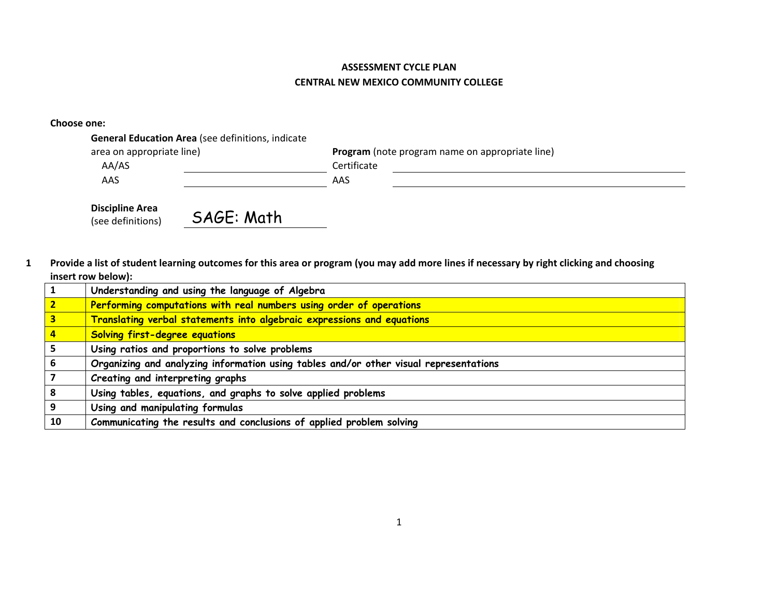## **ASSESSMENT CYCLE PLAN CENTRAL NEW MEXICO COMMUNITY COLLEGE**

## **Choose one:**

| <b>General Education Area</b> (see definitions, indicate |                                                        |  |  |  |  |
|----------------------------------------------------------|--------------------------------------------------------|--|--|--|--|
| area on appropriate line)                                | <b>Program</b> (note program name on appropriate line) |  |  |  |  |
| AA/AS                                                    | Certificate                                            |  |  |  |  |
| AAS                                                      | AAS                                                    |  |  |  |  |
|                                                          |                                                        |  |  |  |  |

**Discipline Area**

UISCIPINE Area<br>(see definitions) SAGE: Math

**1**Provide a list of student learning outcomes for this area or program (you may add more lines if necessary by right clicking and choosing **insert row below):**

|    | Understanding and using the language of Algebra                                       |  |
|----|---------------------------------------------------------------------------------------|--|
|    | Performing computations with real numbers using order of operations                   |  |
|    | Translating verbal statements into algebraic expressions and equations                |  |
|    | <b>Solving first-degree equations</b>                                                 |  |
|    | Using ratios and proportions to solve problems                                        |  |
|    | Organizing and analyzing information using tables and/or other visual representations |  |
|    | Creating and interpreting graphs                                                      |  |
|    | Using tables, equations, and graphs to solve applied problems                         |  |
| 9  | Using and manipulating formulas                                                       |  |
| 10 | Communicating the results and conclusions of applied problem solving                  |  |